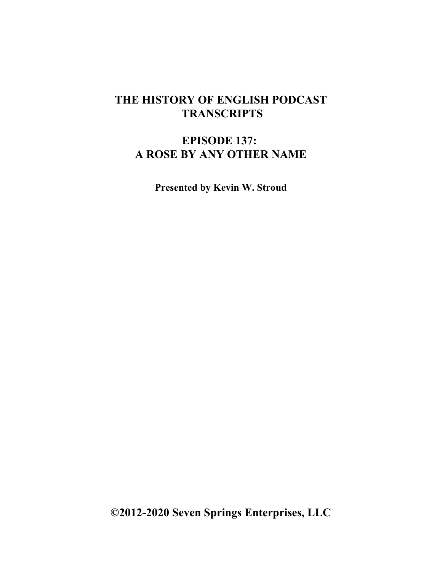## **THE HISTORY OF ENGLISH PODCAST TRANSCRIPTS**

## **EPISODE 137: A ROSE BY ANY OTHER NAME**

**Presented by Kevin W. Stroud**

**©2012-2020 Seven Springs Enterprises, LLC**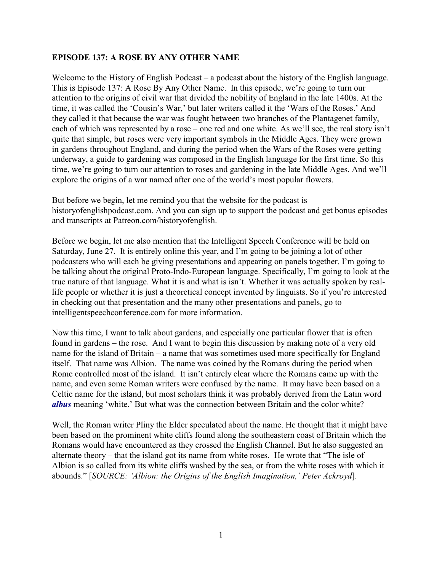## **EPISODE 137: A ROSE BY ANY OTHER NAME**

Welcome to the History of English Podcast – a podcast about the history of the English language. This is Episode 137: A Rose By Any Other Name. In this episode, we're going to turn our attention to the origins of civil war that divided the nobility of England in the late 1400s. At the time, it was called the 'Cousin's War,' but later writers called it the 'Wars of the Roses.' And they called it that because the war was fought between two branches of the Plantagenet family, each of which was represented by a rose – one red and one white. As we'll see, the real story isn't quite that simple, but roses were very important symbols in the Middle Ages. They were grown in gardens throughout England, and during the period when the Wars of the Roses were getting underway, a guide to gardening was composed in the English language for the first time. So this time, we're going to turn our attention to roses and gardening in the late Middle Ages. And we'll explore the origins of a war named after one of the world's most popular flowers.

But before we begin, let me remind you that the website for the podcast is historyofenglishpodcast.com. And you can sign up to support the podcast and get bonus episodes and transcripts at Patreon.com/historyofenglish.

Before we begin, let me also mention that the Intelligent Speech Conference will be held on Saturday, June 27. It is entirely online this year, and I'm going to be joining a lot of other podcasters who will each be giving presentations and appearing on panels together. I'm going to be talking about the original Proto-Indo-European language. Specifically, I'm going to look at the true nature of that language. What it is and what is isn't. Whether it was actually spoken by reallife people or whether it is just a theoretical concept invented by linguists. So if you're interested in checking out that presentation and the many other presentations and panels, go to intelligentspeechconference.com for more information.

Now this time, I want to talk about gardens, and especially one particular flower that is often found in gardens – the rose. And I want to begin this discussion by making note of a very old name for the island of Britain – a name that was sometimes used more specifically for England itself. That name was Albion. The name was coined by the Romans during the period when Rome controlled most of the island. It isn't entirely clear where the Romans came up with the name, and even some Roman writers were confused by the name. It may have been based on a Celtic name for the island, but most scholars think it was probably derived from the Latin word *albus* meaning 'white.' But what was the connection between Britain and the color white?

Well, the Roman writer Pliny the Elder speculated about the name. He thought that it might have been based on the prominent white cliffs found along the southeastern coast of Britain which the Romans would have encountered as they crossed the English Channel. But he also suggested an alternate theory – that the island got its name from white roses. He wrote that "The isle of Albion is so called from its white cliffs washed by the sea, or from the white roses with which it abounds." [*SOURCE: 'Albion: the Origins of the English Imagination,' Peter Ackroyd*].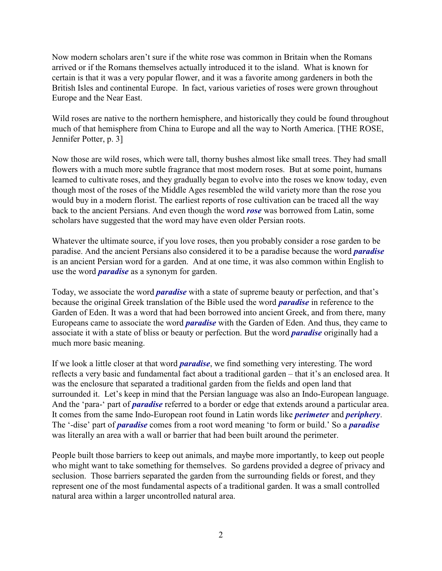Now modern scholars aren't sure if the white rose was common in Britain when the Romans arrived or if the Romans themselves actually introduced it to the island. What is known for certain is that it was a very popular flower, and it was a favorite among gardeners in both the British Isles and continental Europe. In fact, various varieties of roses were grown throughout Europe and the Near East.

Wild roses are native to the northern hemisphere, and historically they could be found throughout much of that hemisphere from China to Europe and all the way to North America. [THE ROSE, Jennifer Potter, p. 3]

Now those are wild roses, which were tall, thorny bushes almost like small trees. They had small flowers with a much more subtle fragrance that most modern roses. But at some point, humans learned to cultivate roses, and they gradually began to evolve into the roses we know today, even though most of the roses of the Middle Ages resembled the wild variety more than the rose you would buy in a modern florist. The earliest reports of rose cultivation can be traced all the way back to the ancient Persians. And even though the word *rose* was borrowed from Latin, some scholars have suggested that the word may have even older Persian roots.

Whatever the ultimate source, if you love roses, then you probably consider a rose garden to be paradise. And the ancient Persians also considered it to be a paradise because the word *paradise* is an ancient Persian word for a garden. And at one time, it was also common within English to use the word *paradise* as a synonym for garden.

Today, we associate the word *paradise* with a state of supreme beauty or perfection, and that's because the original Greek translation of the Bible used the word *paradise* in reference to the Garden of Eden. It was a word that had been borrowed into ancient Greek, and from there, many Europeans came to associate the word *paradise* with the Garden of Eden. And thus, they came to associate it with a state of bliss or beauty or perfection. But the word *paradise* originally had a much more basic meaning.

If we look a little closer at that word *paradise*, we find something very interesting. The word reflects a very basic and fundamental fact about a traditional garden – that it's an enclosed area. It was the enclosure that separated a traditional garden from the fields and open land that surrounded it. Let's keep in mind that the Persian language was also an Indo-European language. And the 'para-' part of *paradise* referred to a border or edge that extends around a particular area. It comes from the same Indo-European root found in Latin words like *perimeter* and *periphery*. The '-dise' part of *paradise* comes from a root word meaning 'to form or build.' So a *paradise* was literally an area with a wall or barrier that had been built around the perimeter.

People built those barriers to keep out animals, and maybe more importantly, to keep out people who might want to take something for themselves. So gardens provided a degree of privacy and seclusion. Those barriers separated the garden from the surrounding fields or forest, and they represent one of the most fundamental aspects of a traditional garden. It was a small controlled natural area within a larger uncontrolled natural area.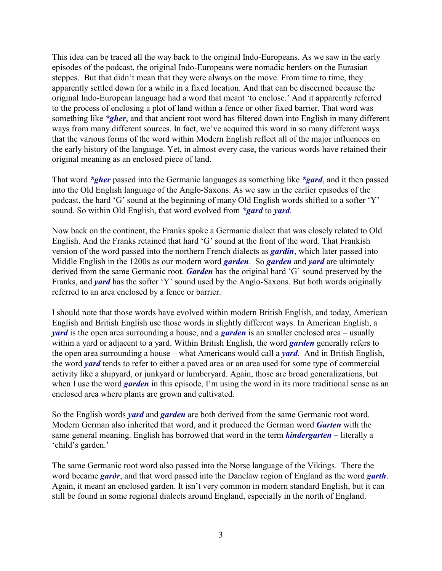This idea can be traced all the way back to the original Indo-Europeans. As we saw in the early episodes of the podcast, the original Indo-Europeans were nomadic herders on the Eurasian steppes. But that didn't mean that they were always on the move. From time to time, they apparently settled down for a while in a fixed location. And that can be discerned because the original Indo-European language had a word that meant 'to enclose.' And it apparently referred to the process of enclosing a plot of land within a fence or other fixed barrier. That word was something like *\*gher*, and that ancient root word has filtered down into English in many different ways from many different sources. In fact, we've acquired this word in so many different ways that the various forms of the word within Modern English reflect all of the major influences on the early history of the language. Yet, in almost every case, the various words have retained their original meaning as an enclosed piece of land.

That word *\*gher* passed into the Germanic languages as something like *\*gard*, and it then passed into the Old English language of the Anglo-Saxons. As we saw in the earlier episodes of the podcast, the hard 'G' sound at the beginning of many Old English words shifted to a softer 'Y' sound. So within Old English, that word evolved from *\*gard* to *yard*.

Now back on the continent, the Franks spoke a Germanic dialect that was closely related to Old English. And the Franks retained that hard 'G' sound at the front of the word. That Frankish version of the word passed into the northern French dialects as *gardin*, which later passed into Middle English in the 1200s as our modern word *garden*. So *garden* and *yard* are ultimately derived from the same Germanic root. *Garden* has the original hard 'G' sound preserved by the Franks, and *yard* has the softer 'Y' sound used by the Anglo-Saxons. But both words originally referred to an area enclosed by a fence or barrier.

I should note that those words have evolved within modern British English, and today, American English and British English use those words in slightly different ways. In American English, a *yard* is the open area surrounding a house, and a *garden* is an smaller enclosed area – usually within a yard or adjacent to a yard. Within British English, the word *garden* generally refers to the open area surrounding a house – what Americans would call a *yard*. And in British English, the word *yard* tends to refer to either a paved area or an area used for some type of commercial activity like a shipyard, or junkyard or lumberyard. Again, those are broad generalizations, but when I use the word *garden* in this episode, I'm using the word in its more traditional sense as an enclosed area where plants are grown and cultivated.

So the English words *yard* and *garden* are both derived from the same Germanic root word. Modern German also inherited that word, and it produced the German word *Garten* with the same general meaning. English has borrowed that word in the term *kindergarten* – literally a 'child's garden.'

The same Germanic root word also passed into the Norse language of the Vikings. There the word became *garðr*, and that word passed into the Danelaw region of England as the word *garth*. Again, it meant an enclosed garden. It isn't very common in modern standard English, but it can still be found in some regional dialects around England, especially in the north of England.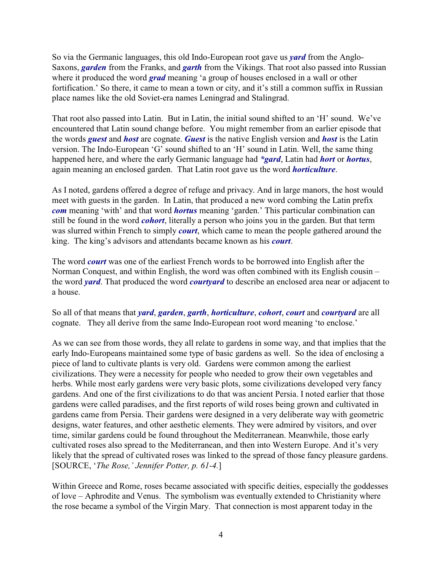So via the Germanic languages, this old Indo-European root gave us *yard* from the Anglo-Saxons, *garden* from the Franks, and *garth* from the Vikings. That root also passed into Russian where it produced the word *grad* meaning 'a group of houses enclosed in a wall or other fortification.' So there, it came to mean a town or city, and it's still a common suffix in Russian place names like the old Soviet-era names Leningrad and Stalingrad.

That root also passed into Latin. But in Latin, the initial sound shifted to an 'H' sound. We've encountered that Latin sound change before. You might remember from an earlier episode that the words *guest* and *host* are cognate. *Guest* is the native English version and *host* is the Latin version. The Indo-European 'G' sound shifted to an 'H' sound in Latin. Well, the same thing happened here, and where the early Germanic language had *\*gard*, Latin had *hort* or *hortus*, again meaning an enclosed garden. That Latin root gave us the word *horticulture*.

As I noted, gardens offered a degree of refuge and privacy. And in large manors, the host would meet with guests in the garden. In Latin, that produced a new word combing the Latin prefix *com* meaning 'with' and that word *hortus* meaning 'garden.' This particular combination can still be found in the word *cohort*, literally a person who joins you in the garden. But that term was slurred within French to simply *court*, which came to mean the people gathered around the king. The king's advisors and attendants became known as his *court*.

The word *court* was one of the earliest French words to be borrowed into English after the Norman Conquest, and within English, the word was often combined with its English cousin – the word *yard*. That produced the word *courtyard* to describe an enclosed area near or adjacent to a house.

So all of that means that *yard*, *garden*, *garth*, *horticulture*, *cohort*, *court* and *courtyard* are all cognate. They all derive from the same Indo-European root word meaning 'to enclose.'

As we can see from those words, they all relate to gardens in some way, and that implies that the early Indo-Europeans maintained some type of basic gardens as well. So the idea of enclosing a piece of land to cultivate plants is very old. Gardens were common among the earliest civilizations. They were a necessity for people who needed to grow their own vegetables and herbs. While most early gardens were very basic plots, some civilizations developed very fancy gardens. And one of the first civilizations to do that was ancient Persia. I noted earlier that those gardens were called paradises, and the first reports of wild roses being grown and cultivated in gardens came from Persia. Their gardens were designed in a very deliberate way with geometric designs, water features, and other aesthetic elements. They were admired by visitors, and over time, similar gardens could be found throughout the Mediterranean. Meanwhile, those early cultivated roses also spread to the Mediterranean, and then into Western Europe. And it's very likely that the spread of cultivated roses was linked to the spread of those fancy pleasure gardens. [SOURCE, '*The Rose,' Jennifer Potter, p. 61-4.*]

Within Greece and Rome, roses became associated with specific deities, especially the goddesses of love – Aphrodite and Venus. The symbolism was eventually extended to Christianity where the rose became a symbol of the Virgin Mary. That connection is most apparent today in the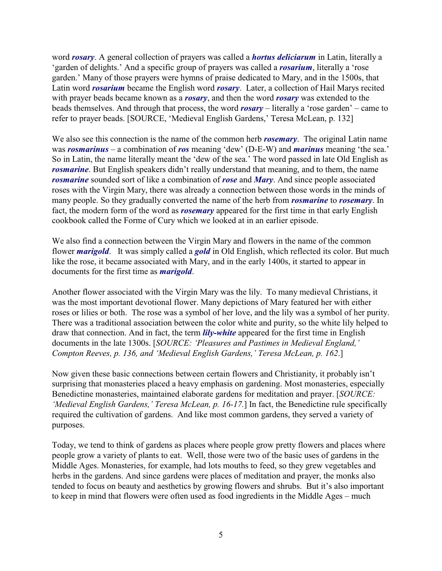word *rosary*. A general collection of prayers was called a *hortus deliciarum* in Latin, literally a 'garden of delights.' And a specific group of prayers was called a *rosarium*, literally a 'rose garden.' Many of those prayers were hymns of praise dedicated to Mary, and in the 1500s, that Latin word *rosarium* became the English word *rosary*. Later, a collection of Hail Marys recited with prayer beads became known as a *rosary*, and then the word *rosary* was extended to the beads themselves. And through that process, the word *rosary* – literally a 'rose garden' – came to refer to prayer beads. [SOURCE, 'Medieval English Gardens,' Teresa McLean, p. 132]

We also see this connection is the name of the common herb *rosemary*. The original Latin name was *rosmarinus* – a combination of *ros* meaning 'dew' (D-E-W) and *marinus* meaning 'the sea.' So in Latin, the name literally meant the 'dew of the sea.' The word passed in late Old English as *rosmarine*. But English speakers didn't really understand that meaning, and to them, the name *rosmarine* sounded sort of like a combination of *rose* and *Mary*. And since people associated roses with the Virgin Mary, there was already a connection between those words in the minds of many people. So they gradually converted the name of the herb from *rosmarine* to *rosemary*. In fact, the modern form of the word as *rosemary* appeared for the first time in that early English cookbook called the Forme of Cury which we looked at in an earlier episode.

We also find a connection between the Virgin Mary and flowers in the name of the common flower *marigold*. It was simply called a *gold* in Old English, which reflected its color. But much like the rose, it became associated with Mary, and in the early 1400s, it started to appear in documents for the first time as *marigold*.

Another flower associated with the Virgin Mary was the lily. To many medieval Christians, it was the most important devotional flower. Many depictions of Mary featured her with either roses or lilies or both. The rose was a symbol of her love, and the lily was a symbol of her purity. There was a traditional association between the color white and purity, so the white lily helped to draw that connection. And in fact, the term *lily-white* appeared for the first time in English documents in the late 1300s. [*SOURCE: 'Pleasures and Pastimes in Medieval England,' Compton Reeves, p. 136, and 'Medieval English Gardens,' Teresa McLean, p. 162*.]

Now given these basic connections between certain flowers and Christianity, it probably isn't surprising that monasteries placed a heavy emphasis on gardening. Most monasteries, especially Benedictine monasteries, maintained elaborate gardens for meditation and prayer. [*SOURCE: 'Medieval English Gardens,' Teresa McLean, p. 16-17.*] In fact, the Benedictine rule specifically required the cultivation of gardens. And like most common gardens, they served a variety of purposes.

Today, we tend to think of gardens as places where people grow pretty flowers and places where people grow a variety of plants to eat. Well, those were two of the basic uses of gardens in the Middle Ages. Monasteries, for example, had lots mouths to feed, so they grew vegetables and herbs in the gardens. And since gardens were places of meditation and prayer, the monks also tended to focus on beauty and aesthetics by growing flowers and shrubs. But it's also important to keep in mind that flowers were often used as food ingredients in the Middle Ages – much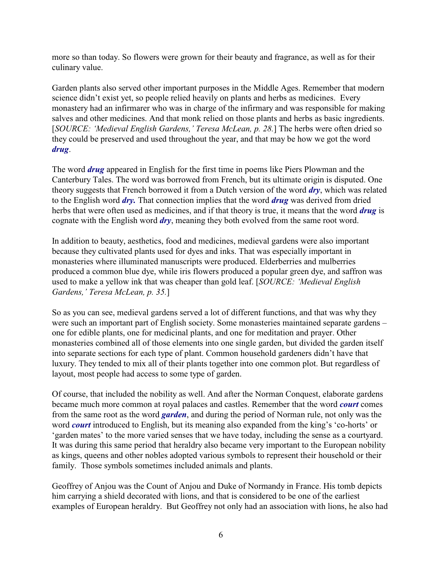more so than today. So flowers were grown for their beauty and fragrance, as well as for their culinary value.

Garden plants also served other important purposes in the Middle Ages. Remember that modern science didn't exist yet, so people relied heavily on plants and herbs as medicines. Every monastery had an infirmarer who was in charge of the infirmary and was responsible for making salves and other medicines. And that monk relied on those plants and herbs as basic ingredients. [*SOURCE: 'Medieval English Gardens,' Teresa McLean, p. 28.*] The herbs were often dried so they could be preserved and used throughout the year, and that may be how we got the word *drug*.

The word *drug* appeared in English for the first time in poems like Piers Plowman and the Canterbury Tales. The word was borrowed from French, but its ultimate origin is disputed. One theory suggests that French borrowed it from a Dutch version of the word *dry*, which was related to the English word *dry.* That connection implies that the word *drug* was derived from dried herbs that were often used as medicines, and if that theory is true, it means that the word *drug* is cognate with the English word *dry*, meaning they both evolved from the same root word.

In addition to beauty, aesthetics, food and medicines, medieval gardens were also important because they cultivated plants used for dyes and inks. That was especially important in monasteries where illuminated manuscripts were produced. Elderberries and mulberries produced a common blue dye, while iris flowers produced a popular green dye, and saffron was used to make a yellow ink that was cheaper than gold leaf. [*SOURCE: 'Medieval English Gardens,' Teresa McLean, p. 35.*]

So as you can see, medieval gardens served a lot of different functions, and that was why they were such an important part of English society. Some monasteries maintained separate gardens – one for edible plants, one for medicinal plants, and one for meditation and prayer. Other monasteries combined all of those elements into one single garden, but divided the garden itself into separate sections for each type of plant. Common household gardeners didn't have that luxury. They tended to mix all of their plants together into one common plot. But regardless of layout, most people had access to some type of garden.

Of course, that included the nobility as well. And after the Norman Conquest, elaborate gardens became much more common at royal palaces and castles. Remember that the word *court* comes from the same root as the word *garden*, and during the period of Norman rule, not only was the word *court* introduced to English, but its meaning also expanded from the king's 'co-horts' or 'garden mates' to the more varied senses that we have today, including the sense as a courtyard. It was during this same period that heraldry also became very important to the European nobility as kings, queens and other nobles adopted various symbols to represent their household or their family. Those symbols sometimes included animals and plants.

Geoffrey of Anjou was the Count of Anjou and Duke of Normandy in France. His tomb depicts him carrying a shield decorated with lions, and that is considered to be one of the earliest examples of European heraldry. But Geoffrey not only had an association with lions, he also had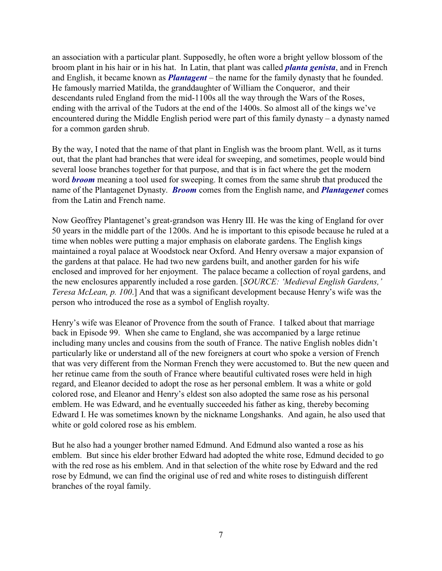an association with a particular plant. Supposedly, he often wore a bright yellow blossom of the broom plant in his hair or in his hat. In Latin, that plant was called *planta genista*, and in French and English, it became known as *Plantagent* – the name for the family dynasty that he founded. He famously married Matilda, the granddaughter of William the Conqueror, and their descendants ruled England from the mid-1100s all the way through the Wars of the Roses, ending with the arrival of the Tudors at the end of the 1400s. So almost all of the kings we've encountered during the Middle English period were part of this family dynasty – a dynasty named for a common garden shrub.

By the way, I noted that the name of that plant in English was the broom plant. Well, as it turns out, that the plant had branches that were ideal for sweeping, and sometimes, people would bind several loose branches together for that purpose, and that is in fact where the get the modern word *broom* meaning a tool used for sweeping. It comes from the same shrub that produced the name of the Plantagenet Dynasty. *Broom* comes from the English name, and *Plantagenet* comes from the Latin and French name.

Now Geoffrey Plantagenet's great-grandson was Henry III. He was the king of England for over 50 years in the middle part of the 1200s. And he is important to this episode because he ruled at a time when nobles were putting a major emphasis on elaborate gardens. The English kings maintained a royal palace at Woodstock near Oxford. And Henry oversaw a major expansion of the gardens at that palace. He had two new gardens built, and another garden for his wife enclosed and improved for her enjoyment. The palace became a collection of royal gardens, and the new enclosures apparently included a rose garden. [*SOURCE: 'Medieval English Gardens,' Teresa McLean, p. 100*.] And that was a significant development because Henry's wife was the person who introduced the rose as a symbol of English royalty.

Henry's wife was Eleanor of Provence from the south of France. I talked about that marriage back in Episode 99. When she came to England, she was accompanied by a large retinue including many uncles and cousins from the south of France. The native English nobles didn't particularly like or understand all of the new foreigners at court who spoke a version of French that was very different from the Norman French they were accustomed to. But the new queen and her retinue came from the south of France where beautiful cultivated roses were held in high regard, and Eleanor decided to adopt the rose as her personal emblem. It was a white or gold colored rose, and Eleanor and Henry's eldest son also adopted the same rose as his personal emblem. He was Edward, and he eventually succeeded his father as king, thereby becoming Edward I. He was sometimes known by the nickname Longshanks. And again, he also used that white or gold colored rose as his emblem.

But he also had a younger brother named Edmund. And Edmund also wanted a rose as his emblem. But since his elder brother Edward had adopted the white rose, Edmund decided to go with the red rose as his emblem. And in that selection of the white rose by Edward and the red rose by Edmund, we can find the original use of red and white roses to distinguish different branches of the royal family.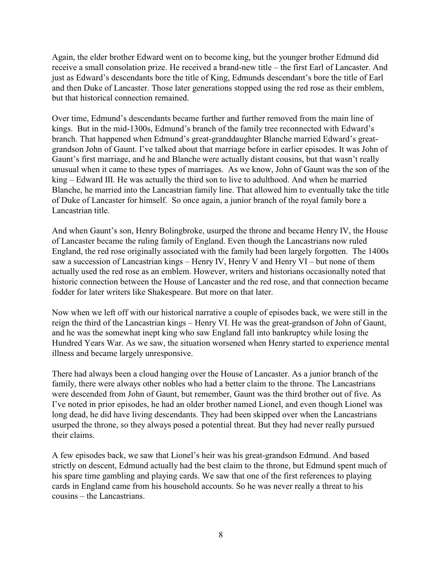Again, the elder brother Edward went on to become king, but the younger brother Edmund did receive a small consolation prize. He received a brand-new title – the first Earl of Lancaster. And just as Edward's descendants bore the title of King, Edmunds descendant's bore the title of Earl and then Duke of Lancaster. Those later generations stopped using the red rose as their emblem, but that historical connection remained.

Over time, Edmund's descendants became further and further removed from the main line of kings. But in the mid-1300s, Edmund's branch of the family tree reconnected with Edward's branch. That happened when Edmund's great-granddaughter Blanche married Edward's greatgrandson John of Gaunt. I've talked about that marriage before in earlier episodes. It was John of Gaunt's first marriage, and he and Blanche were actually distant cousins, but that wasn't really unusual when it came to these types of marriages. As we know, John of Gaunt was the son of the king – Edward III. He was actually the third son to live to adulthood. And when he married Blanche, he married into the Lancastrian family line. That allowed him to eventually take the title of Duke of Lancaster for himself. So once again, a junior branch of the royal family bore a Lancastrian title.

And when Gaunt's son, Henry Bolingbroke, usurped the throne and became Henry IV, the House of Lancaster became the ruling family of England. Even though the Lancastrians now ruled England, the red rose originally associated with the family had been largely forgotten. The 1400s saw a succession of Lancastrian kings – Henry IV, Henry V and Henry VI – but none of them actually used the red rose as an emblem. However, writers and historians occasionally noted that historic connection between the House of Lancaster and the red rose, and that connection became fodder for later writers like Shakespeare. But more on that later.

Now when we left off with our historical narrative a couple of episodes back, we were still in the reign the third of the Lancastrian kings – Henry VI. He was the great-grandson of John of Gaunt, and he was the somewhat inept king who saw England fall into bankruptcy while losing the Hundred Years War. As we saw, the situation worsened when Henry started to experience mental illness and became largely unresponsive.

There had always been a cloud hanging over the House of Lancaster. As a junior branch of the family, there were always other nobles who had a better claim to the throne. The Lancastrians were descended from John of Gaunt, but remember, Gaunt was the third brother out of five. As I've noted in prior episodes, he had an older brother named Lionel, and even though Lionel was long dead, he did have living descendants. They had been skipped over when the Lancastrians usurped the throne, so they always posed a potential threat. But they had never really pursued their claims.

A few episodes back, we saw that Lionel's heir was his great-grandson Edmund. And based strictly on descent, Edmund actually had the best claim to the throne, but Edmund spent much of his spare time gambling and playing cards. We saw that one of the first references to playing cards in England came from his household accounts. So he was never really a threat to his cousins – the Lancastrians.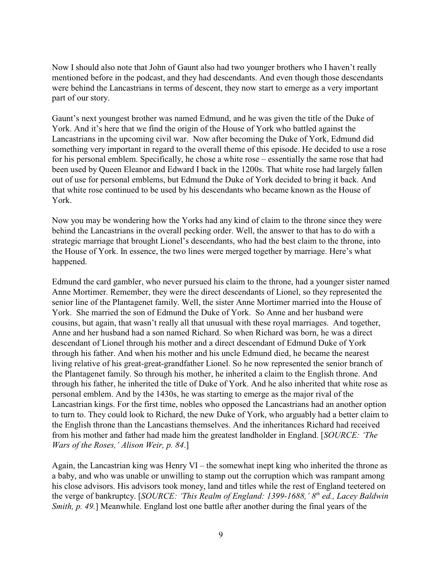Now I should also note that John of Gaunt also had two younger brothers who I haven't really mentioned before in the podcast, and they had descendants. And even though those descendants were behind the Lancastrians in terms of descent, they now start to emerge as a very important part of our story.

Gaunt's next youngest brother was named Edmund, and he was given the title of the Duke of York. And it's here that we find the origin of the House of York who battled against the Lancastrians in the upcoming civil war. Now after becoming the Duke of York, Edmund did something very important in regard to the overall theme of this episode. He decided to use a rose for his personal emblem. Specifically, he chose a white rose – essentially the same rose that had been used by Queen Eleanor and Edward I back in the 1200s. That white rose had largely fallen out of use for personal emblems, but Edmund the Duke of York decided to bring it back. And that white rose continued to be used by his descendants who became known as the House of York.

Now you may be wondering how the Yorks had any kind of claim to the throne since they were behind the Lancastrians in the overall pecking order. Well, the answer to that has to do with a strategic marriage that brought Lionel's descendants, who had the best claim to the throne, into the House of York. In essence, the two lines were merged together by marriage. Here's what happened.

Edmund the card gambler, who never pursued his claim to the throne, had a younger sister named Anne Mortimer. Remember, they were the direct descendants of Lionel, so they represented the senior line of the Plantagenet family. Well, the sister Anne Mortimer married into the House of York. She married the son of Edmund the Duke of York. So Anne and her husband were cousins, but again, that wasn't really all that unusual with these royal marriages. And together, Anne and her husband had a son named Richard. So when Richard was born, he was a direct descendant of Lionel through his mother and a direct descendant of Edmund Duke of York through his father. And when his mother and his uncle Edmund died, he became the nearest living relative of his great-great-grandfather Lionel. So he now represented the senior branch of the Plantagenet family. So through his mother, he inherited a claim to the English throne. And through his father, he inherited the title of Duke of York. And he also inherited that white rose as personal emblem. And by the 1430s, he was starting to emerge as the major rival of the Lancastrian kings. For the first time, nobles who opposed the Lancastrians had an another option to turn to. They could look to Richard, the new Duke of York, who arguably had a better claim to the English throne than the Lancastians themselves. And the inheritances Richard had received from his mother and father had made him the greatest landholder in England. [*SOURCE: 'The Wars of the Roses,' Alison Weir, p. 84*.]

Again, the Lancastrian king was Henry VI – the somewhat inept king who inherited the throne as a baby, and who was unable or unwilling to stamp out the corruption which was rampant among his close advisors. His advisors took money, land and titles while the rest of England teetered on the verge of bankruptcy. [*SOURCE: 'This Realm of England: 1399-1688,' 8<sup>th</sup> ed., Lacey Baldwin Smith, p. 49.*] Meanwhile. England lost one battle after another during the final years of the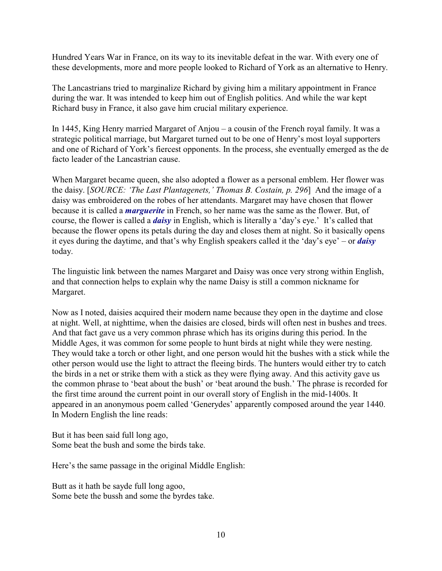Hundred Years War in France, on its way to its inevitable defeat in the war. With every one of these developments, more and more people looked to Richard of York as an alternative to Henry.

The Lancastrians tried to marginalize Richard by giving him a military appointment in France during the war. It was intended to keep him out of English politics. And while the war kept Richard busy in France, it also gave him crucial military experience.

In 1445, King Henry married Margaret of Anjou – a cousin of the French royal family. It was a strategic political marriage, but Margaret turned out to be one of Henry's most loyal supporters and one of Richard of York's fiercest opponents. In the process, she eventually emerged as the de facto leader of the Lancastrian cause.

When Margaret became queen, she also adopted a flower as a personal emblem. Her flower was the daisy. [*SOURCE: 'The Last Plantagenets,' Thomas B. Costain, p. 296*] And the image of a daisy was embroidered on the robes of her attendants. Margaret may have chosen that flower because it is called a *marguerite* in French, so her name was the same as the flower. But, of course, the flower is called a *daisy* in English, which is literally a 'day's eye.' It's called that because the flower opens its petals during the day and closes them at night. So it basically opens it eyes during the daytime, and that's why English speakers called it the 'day's eye' – or *daisy* today.

The linguistic link between the names Margaret and Daisy was once very strong within English, and that connection helps to explain why the name Daisy is still a common nickname for Margaret.

Now as I noted, daisies acquired their modern name because they open in the daytime and close at night. Well, at nighttime, when the daisies are closed, birds will often nest in bushes and trees. And that fact gave us a very common phrase which has its origins during this period. In the Middle Ages, it was common for some people to hunt birds at night while they were nesting. They would take a torch or other light, and one person would hit the bushes with a stick while the other person would use the light to attract the fleeing birds. The hunters would either try to catch the birds in a net or strike them with a stick as they were flying away. And this activity gave us the common phrase to 'beat about the bush' or 'beat around the bush.' The phrase is recorded for the first time around the current point in our overall story of English in the mid-1400s. It appeared in an anonymous poem called 'Generydes' apparently composed around the year 1440. In Modern English the line reads:

But it has been said full long ago, Some beat the bush and some the birds take.

Here's the same passage in the original Middle English:

Butt as it hath be sayde full long agoo, Some bete the bussh and some the byrdes take.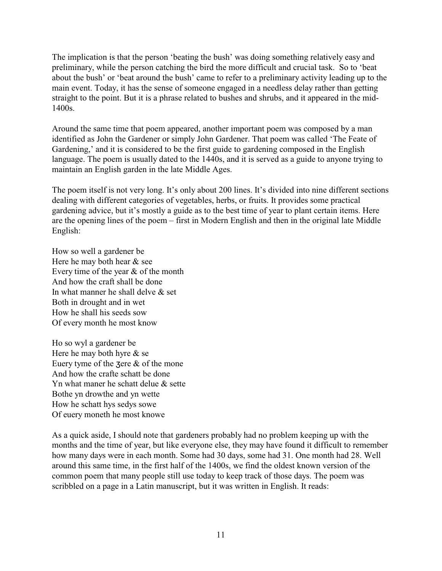The implication is that the person 'beating the bush' was doing something relatively easy and preliminary, while the person catching the bird the more difficult and crucial task. So to 'beat about the bush' or 'beat around the bush' came to refer to a preliminary activity leading up to the main event. Today, it has the sense of someone engaged in a needless delay rather than getting straight to the point. But it is a phrase related to bushes and shrubs, and it appeared in the mid-1400s.

Around the same time that poem appeared, another important poem was composed by a man identified as John the Gardener or simply John Gardener. That poem was called 'The Feate of Gardening,' and it is considered to be the first guide to gardening composed in the English language. The poem is usually dated to the 1440s, and it is served as a guide to anyone trying to maintain an English garden in the late Middle Ages.

The poem itself is not very long. It's only about 200 lines. It's divided into nine different sections dealing with different categories of vegetables, herbs, or fruits. It provides some practical gardening advice, but it's mostly a guide as to the best time of year to plant certain items. Here are the opening lines of the poem – first in Modern English and then in the original late Middle English:

How so well a gardener be Here he may both hear & see Every time of the year & of the month And how the craft shall be done In what manner he shall delve  $\&$  set Both in drought and in wet How he shall his seeds sow Of every month he most know

Ho so wyl a gardener be Here he may both hyre & se Euery tyme of the  $\text{Zere } \& \text{ of the mono}$ And how the crafte schatt be done Yn what maner he schatt delue & sette Bothe yn drowthe and yn wette How he schatt hys sedys sowe Of euery moneth he most knowe

As a quick aside, I should note that gardeners probably had no problem keeping up with the months and the time of year, but like everyone else, they may have found it difficult to remember how many days were in each month. Some had 30 days, some had 31. One month had 28. Well around this same time, in the first half of the 1400s, we find the oldest known version of the common poem that many people still use today to keep track of those days. The poem was scribbled on a page in a Latin manuscript, but it was written in English. It reads: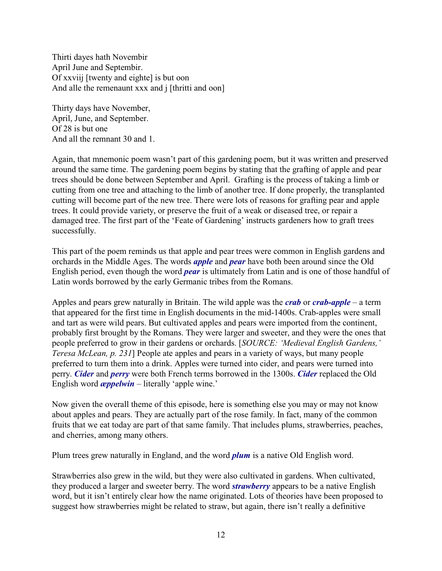Thirti dayes hath Novembir April June and Septembir. Of xxviij [twenty and eighte] is but oon And alle the remenaunt xxx and j [thritti and oon]

Thirty days have November, April, June, and September. Of 28 is but one And all the remnant 30 and 1.

Again, that mnemonic poem wasn't part of this gardening poem, but it was written and preserved around the same time. The gardening poem begins by stating that the grafting of apple and pear trees should be done between September and April. Grafting is the process of taking a limb or cutting from one tree and attaching to the limb of another tree. If done properly, the transplanted cutting will become part of the new tree. There were lots of reasons for grafting pear and apple trees. It could provide variety, or preserve the fruit of a weak or diseased tree, or repair a damaged tree. The first part of the 'Feate of Gardening' instructs gardeners how to graft trees successfully.

This part of the poem reminds us that apple and pear trees were common in English gardens and orchards in the Middle Ages. The words *apple* and *pear* have both been around since the Old English period, even though the word *pear* is ultimately from Latin and is one of those handful of Latin words borrowed by the early Germanic tribes from the Romans.

Apples and pears grew naturally in Britain. The wild apple was the *crab* or *crab-apple* – a term that appeared for the first time in English documents in the mid-1400s. Crab-apples were small and tart as were wild pears. But cultivated apples and pears were imported from the continent, probably first brought by the Romans. They were larger and sweeter, and they were the ones that people preferred to grow in their gardens or orchards. [*SOURCE: 'Medieval English Gardens,' Teresa McLean, p. 231*] People ate apples and pears in a variety of ways, but many people preferred to turn them into a drink. Apples were turned into cider, and pears were turned into perry. *Cider* and *perry* were both French terms borrowed in the 1300s. *Cider* replaced the Old English word *æppelwin* – literally 'apple wine.'

Now given the overall theme of this episode, here is something else you may or may not know about apples and pears. They are actually part of the rose family. In fact, many of the common fruits that we eat today are part of that same family. That includes plums, strawberries, peaches, and cherries, among many others.

Plum trees grew naturally in England, and the word *plum* is a native Old English word.

Strawberries also grew in the wild, but they were also cultivated in gardens. When cultivated, they produced a larger and sweeter berry. The word *strawberry* appears to be a native English word, but it isn't entirely clear how the name originated. Lots of theories have been proposed to suggest how strawberries might be related to straw, but again, there isn't really a definitive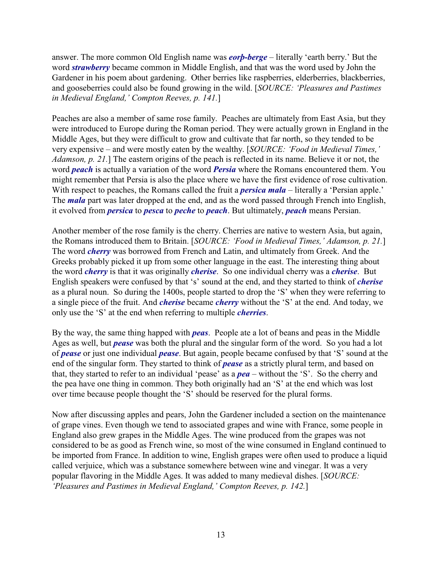answer. The more common Old English name was *eorþ-berge* – literally 'earth berry.' But the word *strawberry* became common in Middle English, and that was the word used by John the Gardener in his poem about gardening. Other berries like raspberries, elderberries, blackberries, and gooseberries could also be found growing in the wild. [*SOURCE: 'Pleasures and Pastimes in Medieval England,' Compton Reeves, p. 141.*]

Peaches are also a member of same rose family. Peaches are ultimately from East Asia, but they were introduced to Europe during the Roman period. They were actually grown in England in the Middle Ages, but they were difficult to grow and cultivate that far north, so they tended to be very expensive – and were mostly eaten by the wealthy. [*SOURCE: 'Food in Medieval Times,' Adamson, p. 21.*] The eastern origins of the peach is reflected in its name. Believe it or not, the word *peach* is actually a variation of the word *Persia* where the Romans encountered them. You might remember that Persia is also the place where we have the first evidence of rose cultivation. With respect to peaches, the Romans called the fruit a *persica mala* – literally a 'Persian apple.' The *mala* part was later dropped at the end, and as the word passed through French into English, it evolved from *persica* to *pesca* to *peche* to *peach*. But ultimately, *peach* means Persian.

Another member of the rose family is the cherry. Cherries are native to western Asia, but again, the Romans introduced them to Britain. [*SOURCE: 'Food in Medieval Times,' Adamson, p. 21.*] The word *cherry* was borrowed from French and Latin, and ultimately from Greek. And the Greeks probably picked it up from some other language in the east. The interesting thing about the word *cherry* is that it was originally *cherise*. So one individual cherry was a *cherise*. But English speakers were confused by that 's' sound at the end, and they started to think of *cherise* as a plural noun. So during the 1400s, people started to drop the 'S' when they were referring to a single piece of the fruit. And *cherise* became *cherry* without the 'S' at the end. And today, we only use the 'S' at the end when referring to multiple *cherries*.

By the way, the same thing happed with *peas*. People ate a lot of beans and peas in the Middle Ages as well, but *pease* was both the plural and the singular form of the word. So you had a lot of *pease* or just one individual *pease*. But again, people became confused by that 'S' sound at the end of the singular form. They started to think of *pease* as a strictly plural term, and based on that, they started to refer to an individual 'pease' as a *pea* – without the 'S'. So the cherry and the pea have one thing in common. They both originally had an 'S' at the end which was lost over time because people thought the 'S' should be reserved for the plural forms.

Now after discussing apples and pears, John the Gardener included a section on the maintenance of grape vines. Even though we tend to associated grapes and wine with France, some people in England also grew grapes in the Middle Ages. The wine produced from the grapes was not considered to be as good as French wine, so most of the wine consumed in England continued to be imported from France. In addition to wine, English grapes were often used to produce a liquid called verjuice, which was a substance somewhere between wine and vinegar. It was a very popular flavoring in the Middle Ages. It was added to many medieval dishes. [*SOURCE: 'Pleasures and Pastimes in Medieval England,' Compton Reeves, p. 142.*]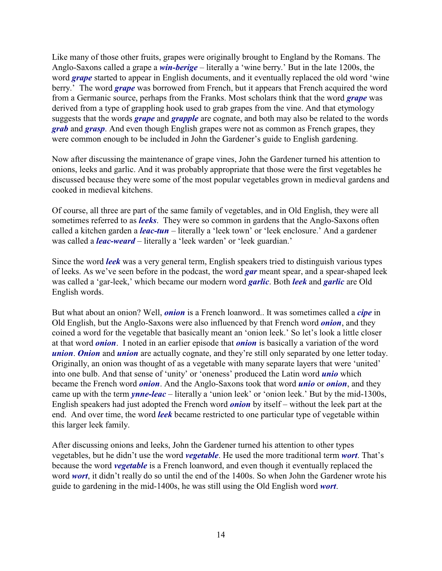Like many of those other fruits, grapes were originally brought to England by the Romans. The Anglo-Saxons called a grape a *win-berige* – literally a 'wine berry.' But in the late 1200s, the word *grape* started to appear in English documents, and it eventually replaced the old word 'wine berry.' The word *grape* was borrowed from French, but it appears that French acquired the word from a Germanic source, perhaps from the Franks. Most scholars think that the word *grape* was derived from a type of grappling hook used to grab grapes from the vine. And that etymology suggests that the words *grape* and *grapple* are cognate, and both may also be related to the words *grab* and *grasp*. And even though English grapes were not as common as French grapes, they were common enough to be included in John the Gardener's guide to English gardening.

Now after discussing the maintenance of grape vines, John the Gardener turned his attention to onions, leeks and garlic. And it was probably appropriate that those were the first vegetables he discussed because they were some of the most popular vegetables grown in medieval gardens and cooked in medieval kitchens.

Of course, all three are part of the same family of vegetables, and in Old English, they were all sometimes referred to as *leeks*. They were so common in gardens that the Anglo-Saxons often called a kitchen garden a *leac-tun* – literally a 'leek town' or 'leek enclosure.' And a gardener was called a *leac-weard* – literally a 'leek warden' or 'leek guardian.'

Since the word *leek* was a very general term, English speakers tried to distinguish various types of leeks. As we've seen before in the podcast, the word *gar* meant spear, and a spear-shaped leek was called a 'gar-leek,' which became our modern word *garlic*. Both *leek* and *garlic* are Old English words.

But what about an onion? Well, *onion* is a French loanword.. It was sometimes called a *cipe* in Old English, but the Anglo-Saxons were also influenced by that French word *onion*, and they coined a word for the vegetable that basically meant an 'onion leek.' So let's look a little closer at that word *onion*. I noted in an earlier episode that *onion* is basically a variation of the word *union. Onion* and *union* are actually cognate, and they're still only separated by one letter today. Originally, an onion was thought of as a vegetable with many separate layers that were 'united' into one bulb. And that sense of 'unity' or 'oneness' produced the Latin word *unio* which became the French word *onion*. And the Anglo-Saxons took that word *unio* or *onion*, and they came up with the term *ynne-leac* – literally a 'union leek' or 'onion leek.' But by the mid-1300s, English speakers had just adopted the French word *onion* by itself – without the leek part at the end. And over time, the word *leek* became restricted to one particular type of vegetable within this larger leek family.

After discussing onions and leeks, John the Gardener turned his attention to other types vegetables, but he didn't use the word *vegetable*. He used the more traditional term *wort*. That's because the word *vegetable* is a French loanword, and even though it eventually replaced the word *wort*, it didn't really do so until the end of the 1400s. So when John the Gardener wrote his guide to gardening in the mid-1400s, he was still using the Old English word *wort*.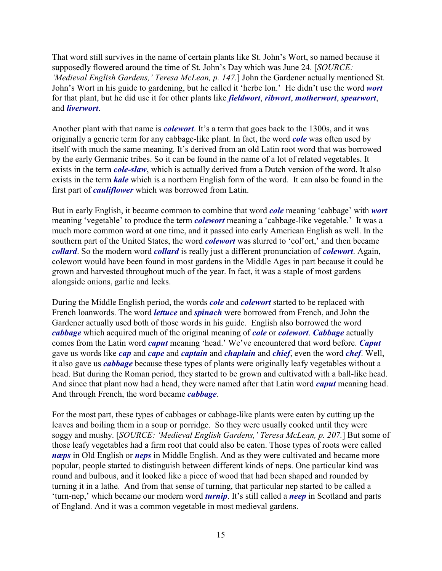That word still survives in the name of certain plants like St. John's Wort, so named because it supposedly flowered around the time of St. John's Day which was June 24. [*SOURCE: 'Medieval English Gardens,' Teresa McLean, p. 147*.] John the Gardener actually mentioned St. John's Wort in his guide to gardening, but he called it 'herbe Ion.' He didn't use the word *wort* for that plant, but he did use it for other plants like *fieldwort*, *ribwort*, *motherwort*, *spearwort*, and *liverwort*.

Another plant with that name is *colewort*. It's a term that goes back to the 1300s, and it was originally a generic term for any cabbage-like plant. In fact, the word *cole* was often used by itself with much the same meaning. It's derived from an old Latin root word that was borrowed by the early Germanic tribes. So it can be found in the name of a lot of related vegetables. It exists in the term *cole-slaw*, which is actually derived from a Dutch version of the word. It also exists in the term *kale* which is a northern English form of the word. It can also be found in the first part of *cauliflower* which was borrowed from Latin.

But in early English, it became common to combine that word *cole* meaning 'cabbage' with *wort* meaning 'vegetable' to produce the term *colewort* meaning a 'cabbage-like vegetable.' It was a much more common word at one time, and it passed into early American English as well. In the southern part of the United States, the word *colewort* was slurred to 'col'ort,' and then became *collard*. So the modern word *collard* is really just a different pronunciation of *colewort*. Again, colewort would have been found in most gardens in the Middle Ages in part because it could be grown and harvested throughout much of the year. In fact, it was a staple of most gardens alongside onions, garlic and leeks.

During the Middle English period, the words *cole* and *colewort* started to be replaced with French loanwords. The word *lettuce* and *spinach* were borrowed from French, and John the Gardener actually used both of those words in his guide. English also borrowed the word *cabbage* which acquired much of the original meaning of *cole* or *colewort*. *Cabbage* actually comes from the Latin word *caput* meaning 'head.' We've encountered that word before. *Caput* gave us words like *cap* and *cape* and *captain* and *chaplain* and *chief*, even the word *chef*. Well, it also gave us *cabbage* because these types of plants were originally leafy vegetables without a head. But during the Roman period, they started to be grown and cultivated with a ball-like head. And since that plant now had a head, they were named after that Latin word *caput* meaning head. And through French, the word became *cabbage*.

For the most part, these types of cabbages or cabbage-like plants were eaten by cutting up the leaves and boiling them in a soup or porridge. So they were usually cooked until they were soggy and mushy. [*SOURCE: 'Medieval English Gardens,' Teresa McLean, p. 207.*] But some of those leafy vegetables had a firm root that could also be eaten. Those types of roots were called *næps* in Old English or *neps* in Middle English. And as they were cultivated and became more popular, people started to distinguish between different kinds of neps. One particular kind was round and bulbous, and it looked like a piece of wood that had been shaped and rounded by turning it in a lathe. And from that sense of turning, that particular nep started to be called a 'turn-nep,' which became our modern word *turnip*. It's still called a *neep* in Scotland and parts of England. And it was a common vegetable in most medieval gardens.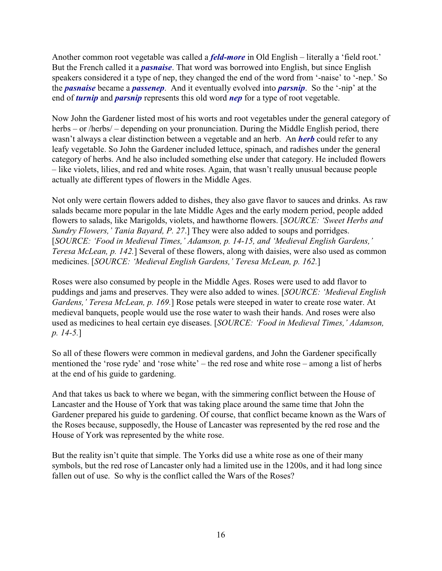Another common root vegetable was called a *feld-more* in Old English – literally a 'field root.' But the French called it a *pasnaise*. That word was borrowed into English, but since English speakers considered it a type of nep, they changed the end of the word from '-naise' to '-nep.' So the *pasnaise* became a *passenep*. And it eventually evolved into *parsnip*. So the '-nip' at the end of *turnip* and *parsnip* represents this old word *nep* for a type of root vegetable.

Now John the Gardener listed most of his worts and root vegetables under the general category of herbs – or /herbs/ – depending on your pronunciation. During the Middle English period, there wasn't always a clear distinction between a vegetable and an herb. An *herb* could refer to any leafy vegetable. So John the Gardener included lettuce, spinach, and radishes under the general category of herbs. And he also included something else under that category. He included flowers – like violets, lilies, and red and white roses. Again, that wasn't really unusual because people actually ate different types of flowers in the Middle Ages.

Not only were certain flowers added to dishes, they also gave flavor to sauces and drinks. As raw salads became more popular in the late Middle Ages and the early modern period, people added flowers to salads, like Marigolds, violets, and hawthorne flowers. [*SOURCE: 'Sweet Herbs and Sundry Flowers,' Tania Bayard, P. 27*.] They were also added to soups and porridges. [*SOURCE: 'Food in Medieval Times,' Adamson, p. 14-15, and 'Medieval English Gardens,' Teresa McLean, p. 142.*] Several of these flowers, along with daisies, were also used as common medicines. [*SOURCE: 'Medieval English Gardens,' Teresa McLean, p. 162.*]

Roses were also consumed by people in the Middle Ages. Roses were used to add flavor to puddings and jams and preserves. They were also added to wines. [*SOURCE: 'Medieval English Gardens,' Teresa McLean, p. 169.*] Rose petals were steeped in water to create rose water. At medieval banquets, people would use the rose water to wash their hands. And roses were also used as medicines to heal certain eye diseases. [*SOURCE: 'Food in Medieval Times,' Adamson, p. 14-5.*]

So all of these flowers were common in medieval gardens, and John the Gardener specifically mentioned the 'rose ryde' and 'rose white' – the red rose and white rose – among a list of herbs at the end of his guide to gardening.

And that takes us back to where we began, with the simmering conflict between the House of Lancaster and the House of York that was taking place around the same time that John the Gardener prepared his guide to gardening. Of course, that conflict became known as the Wars of the Roses because, supposedly, the House of Lancaster was represented by the red rose and the House of York was represented by the white rose.

But the reality isn't quite that simple. The Yorks did use a white rose as one of their many symbols, but the red rose of Lancaster only had a limited use in the 1200s, and it had long since fallen out of use. So why is the conflict called the Wars of the Roses?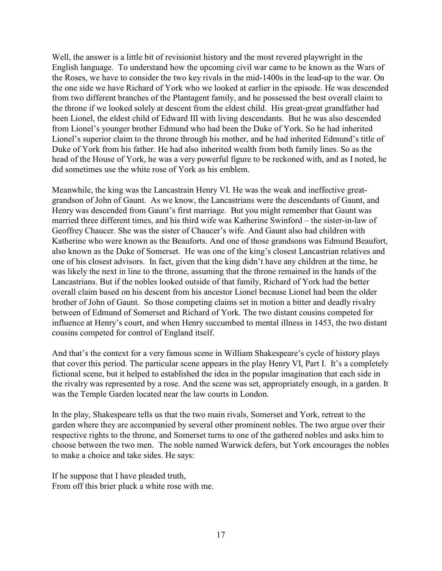Well, the answer is a little bit of revisionist history and the most revered playwright in the English language. To understand how the upcoming civil war came to be known as the Wars of the Roses, we have to consider the two key rivals in the mid-1400s in the lead-up to the war. On the one side we have Richard of York who we looked at earlier in the episode. He was descended from two different branches of the Plantagent family, and he possessed the best overall claim to the throne if we looked solely at descent from the eldest child. His great-great grandfather had been Lionel, the eldest child of Edward III with living descendants. But he was also descended from Lionel's younger brother Edmund who had been the Duke of York. So he had inherited Lionel's superior claim to the throne through his mother, and he had inherited Edmund's title of Duke of York from his father. He had also inherited wealth from both family lines. So as the head of the House of York, he was a very powerful figure to be reckoned with, and as I noted, he did sometimes use the white rose of York as his emblem.

Meanwhile, the king was the Lancastrain Henry VI. He was the weak and ineffective greatgrandson of John of Gaunt. As we know, the Lancastrians were the descendants of Gaunt, and Henry was descended from Gaunt's first marriage. But you might remember that Gaunt was married three different times, and his third wife was Katherine Swinford – the sister-in-law of Geoffrey Chaucer. She was the sister of Chaucer's wife. And Gaunt also had children with Katherine who were known as the Beauforts. And one of those grandsons was Edmund Beaufort, also known as the Duke of Somerset. He was one of the king's closest Lancastrian relatives and one of his closest advisors. In fact, given that the king didn't have any children at the time, he was likely the next in line to the throne, assuming that the throne remained in the hands of the Lancastrians. But if the nobles looked outside of that family, Richard of York had the better overall claim based on his descent from his ancestor Lionel because Lionel had been the older brother of John of Gaunt. So those competing claims set in motion a bitter and deadly rivalry between of Edmund of Somerset and Richard of York. The two distant cousins competed for influence at Henry's court, and when Henry succumbed to mental illness in 1453, the two distant cousins competed for control of England itself.

And that's the context for a very famous scene in William Shakespeare's cycle of history plays that cover this period. The particular scene appears in the play Henry VI, Part I. It's a completely fictional scene, but it helped to established the idea in the popular imagination that each side in the rivalry was represented by a rose. And the scene was set, appropriately enough, in a garden. It was the Temple Garden located near the law courts in London.

In the play, Shakespeare tells us that the two main rivals, Somerset and York, retreat to the garden where they are accompanied by several other prominent nobles. The two argue over their respective rights to the throne, and Somerset turns to one of the gathered nobles and asks him to choose between the two men. The noble named Warwick defers, but York encourages the nobles to make a choice and take sides. He says:

If he suppose that I have pleaded truth, From off this brier pluck a white rose with me.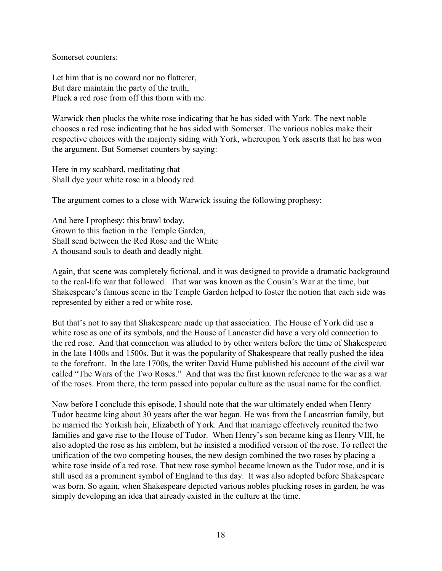Somerset counters:

Let him that is no coward nor no flatterer, But dare maintain the party of the truth, Pluck a red rose from off this thorn with me.

Warwick then plucks the white rose indicating that he has sided with York. The next noble chooses a red rose indicating that he has sided with Somerset. The various nobles make their respective choices with the majority siding with York, whereupon York asserts that he has won the argument. But Somerset counters by saying:

Here in my scabbard, meditating that Shall dye your white rose in a bloody red.

The argument comes to a close with Warwick issuing the following prophesy:

And here I prophesy: this brawl today, Grown to this faction in the Temple Garden, Shall send between the Red Rose and the White A thousand souls to death and deadly night.

Again, that scene was completely fictional, and it was designed to provide a dramatic background to the real-life war that followed. That war was known as the Cousin's War at the time, but Shakespeare's famous scene in the Temple Garden helped to foster the notion that each side was represented by either a red or white rose.

But that's not to say that Shakespeare made up that association. The House of York did use a white rose as one of its symbols, and the House of Lancaster did have a very old connection to the red rose. And that connection was alluded to by other writers before the time of Shakespeare in the late 1400s and 1500s. But it was the popularity of Shakespeare that really pushed the idea to the forefront. In the late 1700s, the writer David Hume published his account of the civil war called "The Wars of the Two Roses." And that was the first known reference to the war as a war of the roses. From there, the term passed into popular culture as the usual name for the conflict.

Now before I conclude this episode, I should note that the war ultimately ended when Henry Tudor became king about 30 years after the war began. He was from the Lancastrian family, but he married the Yorkish heir, Elizabeth of York. And that marriage effectively reunited the two families and gave rise to the House of Tudor. When Henry's son became king as Henry VIII, he also adopted the rose as his emblem, but he insisted a modified version of the rose. To reflect the unification of the two competing houses, the new design combined the two roses by placing a white rose inside of a red rose. That new rose symbol became known as the Tudor rose, and it is still used as a prominent symbol of England to this day. It was also adopted before Shakespeare was born. So again, when Shakespeare depicted various nobles plucking roses in garden, he was simply developing an idea that already existed in the culture at the time.